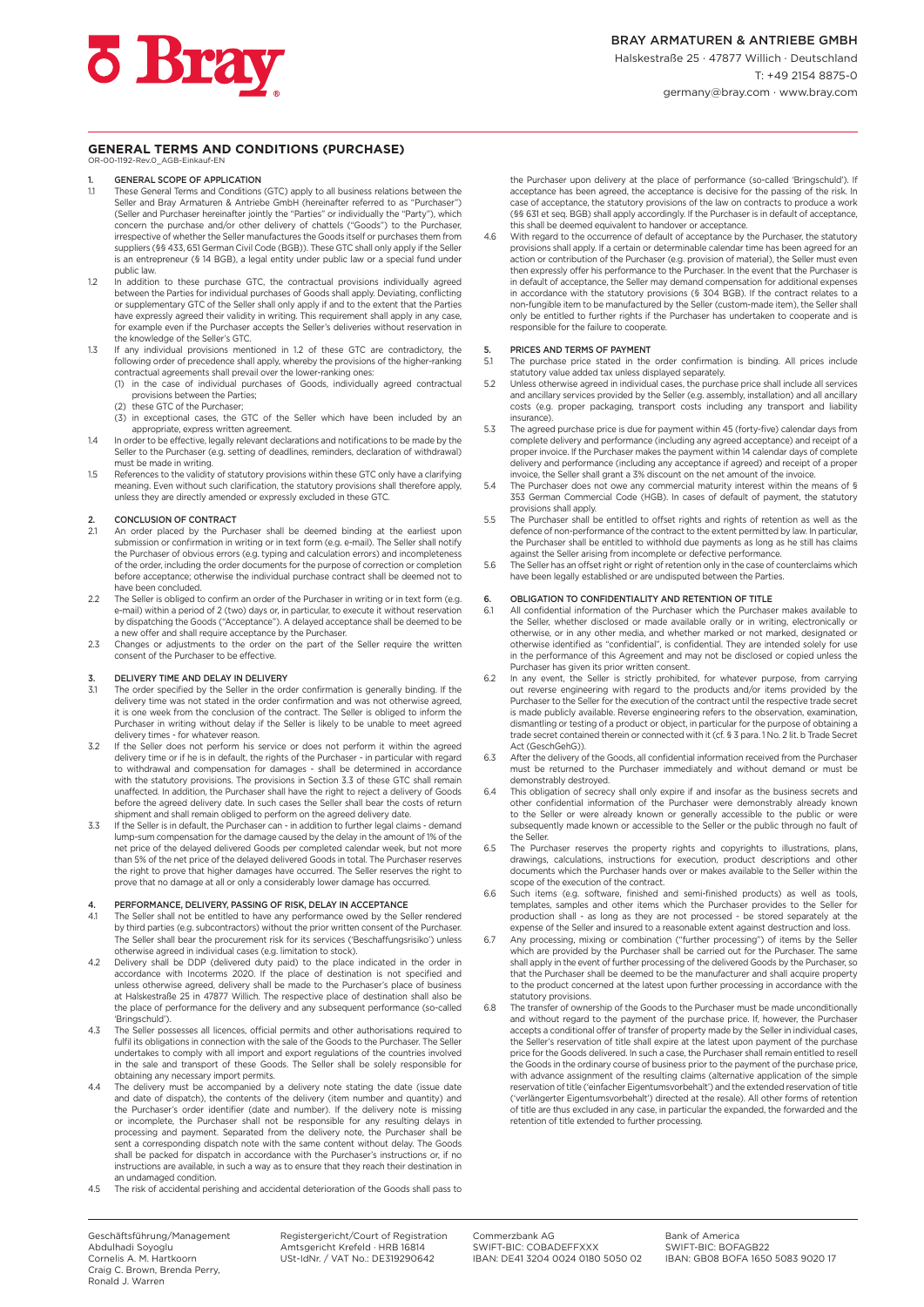#### **GENERAL TERMS AND CONDITIONS (PURCHASE)** OR-00-1192-Rev.0\_AGB-Einkauf-EN

- 1. **GENERAL SCOPE OF APPLICATION**<br>1.1 These General Terms and Conditions
- These General Terms and Conditions (GTC) apply to all business relations between the Seller and Bray Armaturen & Antriebe GmbH (hereinafter referred to as "Purchaser") (Seller and Purchaser hereinafter jointly the "Parties" or individually the "Party"), which concern the purchase and/or other delivery of chattels ("Goods") to the Purchaser, irrespective of whether the Seller manufactures the Goods itself or purchases them from suppliers (§§ 433, 651 German Civil Code (BGB)). These GTC shall only apply if the Seller is an entrepreneur (§ 14 BGB), a legal entity under public law or a special fund under public law.
- 1.2 In addition to these purchase GTC, the contractual provisions individually agreed between the Parties for individual purchases of Goods shall apply. Deviating, conflicting or supplementary GTC of the Seller shall only apply if and to the extent that the Parties have expressly agreed their validity in writing. This requirement shall apply in any case for example even if the Purchaser accepts the Seller's deliveries without reservation in the knowledge of the Seller's GTC.
- 1.3 If any individual provisions mentioned in 1.2 of these GTC are contradictory, the following order of precedence shall apply, whereby the provisions of the higher-ranking contractual agreements shall prevail over the lower-ranking ones:
	- (1) in the case of individual purchases of Goods, individually agreed contractual provisions between the Parties; (2) these GTC of the Purchaser;
	- (3) in exceptional cases, the GTC of the Seller which have been included by an
- appropriate, express written agreement.<br>1.4 In order to be effective, legally relevant declarations and notifications to be made by the Seller to the Purchaser (e.g. setting of deadlines, reminders, declaration of withdr must be made in writing.
- 1.5 References to the validity of statutory provisions within these GTC only have a clarifying meaning. Even without such clarification, the statutory provisions shall therefore apply, unless they are directly amended or expressly excluded in these GTC.

# 2. CONCLUSION OF CONTRACT<br>2.1 An order placed by the Pure

- 2.1 An order placed by the Purchaser shall be deemed binding at the earliest upon<br>submission or confirmation in writing or in text form (e.g. e-mail). The Seller shall notify<br>the Purchaser of obvious errors (e.g. typing an of the order, including the order documents for the purpose of correction or completion before acceptance; otherwise the individual purchase contract shall be deemed not to have been concluded.
- 2.2 The Seller is obliged to confirm an order of the Purchaser in writing or in text form (e.g. e-mail) within a period of 2 (two) days or, in particular, to execute it without reservation by dispatching the Goods ("Acceptance"). A delayed acceptance shall be deemed to be a new offer and shall require acceptance by the Purchaser.
- 2.3 Changes or adjustments to the order on the part of the Seller require the written consent of the Purchaser to be effective.

### DELIVERY TIME AND DELAY IN DELIVERY

- 3.1 The order specified by the Seller in the order confirmation is generally binding. If the delivery time was not stated in the order confirmation and was not otherwise agreed, it is one week from the conclusion of the contract. The Seller is obliged to inform the Purchaser in writing without delay if the Seller is likely to be unable to meet agreed delivery times - for whatever reason.
- 3.2 If the Seller does not perform his service or does not perform it within the agreed delivery time or if he is in default, the rights of the Purchaser in particular with regard to withdrawal and compensation for damages - shall be determined in accordance with the statutory provisions. The provisions in Section 3.3 of these GTC shall remain unaffected. In addition, the Purchaser shall have the right to reject a delivery of Goods before the agreed delivery date. In such cases the Seller shall bear the costs of return shipment and shall remain obliged to perform on the agreed delivery date.
- 3.3 If the Seller is in default, the Purchaser can in addition to further legal claims demand lump-sum compensation for the damage caused by the delay in the amount of 1% of the net price of the delayed delivered Goods per completed calendar week, but not more than 5% of the net price of the delayed delivered Goods in total. The Purchaser reserves the right to prove that higher damages have occurred. The Seller reserves the right to prove that no damage at all or only a considerably lower damage has occurred.

### PERFORMANCE, DELIVERY, PASSING OF RISK, DELAY IN ACCEPTANCE

- 4.1 The Seller shall not be entitled to have any performance owed by the Seller rendered by third parties (e.g. subcontractors) without the prior written consent of the Purchaser. The Seller shall bear the procurement risk for its services ('Beschaffungsrisiko') unless otherwise agreed in individual cases (e.g. limitation to stock).
- 4.2 Delivery shall be DDP (delivered duty paid) to the place indicated in the order in accordance with Incoterms 2020. If the place of destination is not specified and unless otherwise agreed, delivery shall be made to the Purchaser's place of business at Halskestraße 25 in 47877 Willich. The respective place of destination shall also be the place of performance for the delivery and any subsequent performance (so-called 'Bringschuld').
- 4.3 The Seller possesses all licences, official permits and other authorisations required to fulfil its obligations in connection with the sale of the Goods to the Purchaser. The Seller undertakes to comply with all import and export regulations of the countries involved in the sale and transport of these Goods. The Seller shall be solely responsible for obtaining any necessary import permits.
- 4.4 The delivery must be accompanied by a delivery note stating the date (issue date and date of dispatch), the contents of the delivery (item number and quantity) and the Purchaser's order identifier (date and number). If the delivery note is missing or incomplete, the Purchaser shall not be responsible for any resulting delays in processing and payment. Separated from the delivery note, the Purchaser shall be sent a corresponding dispatch note with the same content without delay. The Goods shall be packed for dispatch in accordance with the Purchaser's instructions or, if no instructions are available, in such a way as to ensure that they reach their destination in an undamaged condition.
- 4.5 The risk of accidental perishing and accidental deterioration of the Goods shall pass to

the Purchaser upon delivery at the place of performance (so-called 'Bringschuld'). If acceptance has been agreed, the acceptance is decisive for the passing of the risk. In case of acceptance, the statutory provisions of the law on contracts to produce a work (§§ 631 et seq. BGB) shall apply accordingly. If the Purchaser is in default of acceptance, this shall be deemed equivalent to handover or acceptance.

4.6 With regard to the occurrence of default of acceptance by the Purchaser, the statutory provisions shall apply. If a certain or determinable calendar time has been agreed for an action or contribution of the Purchaser (e.g. provision of material), the Seller must even then expressly offer his performance to the Purchaser. In the event that the Purchaser is in default of acceptance, the Seller may demand compensation for additional expenses<br>in accordance with the statutory provisions (§ 304 BGB). If the contract relates to a<br>non-fungible item to be manufactured by the Seller only be entitled to further rights if the Purchaser has undertaken to cooperate and is responsible for the failure to cooperate.

## 5. PRICES AND TERMS OF PAYMENT<br>5.1 The purchase price stated in the

- The purchase price stated in the order confirmation is binding. All prices include statutory value added tax unless displayed separately.
- 5.2 Unless otherwise agreed in individual cases, the purchase price shall include all services and ancillary services provided by the Seller (e.g. assembly, installation) and all ancillary costs (e.g. proper packaging, transport costs including any transport and liability insurance).
- 5.3 The agreed purchase price is due for payment within 45 (forty-five) calendar days from complete delivery and performance (including any agreed acceptance) and receipt of a proper invoice. If the Purchaser makes the payment within 14 calendar days of complete delivery and performance (including any acceptance if agreed) and receipt of a proper invoice, the Seller shall grant a 3% discount on the net amount of the invoice.
- 5.4 The Purchaser does not owe any commercial maturity interest within the means of § 353 German Commercial Code (HGB). In cases of default of payment, the statutory provisions shall apply.
- 5.5 The Purchaser shall be entitled to offset rights and rights of retention as well as the defence of non-performance of the contract to the extent permitted by law. In particular, the Purchaser shall be entitled to withhold due payments as long as he still has claims against the Seller arising from incomplete or defective performance.
- 5.6 The Seller has an offset right or right of retention only in the case of counterclaims which have been legally established or are undisputed between the Parties.

#### 6. OBLIGATION TO CONFIDENTIALITY AND RETENTION OF TITLE

- 6.1 All confidential information of the Purchaser which the Purchaser makes available to the Seller, whether disclosed or made available orally or in writing, electronically or otherwise, or in any other media, and whether marked or not marked, designated or otherwise identified as "confidential", is confidential. They are intended solely for use in the performance of this Agreement and may not be disclosed or copied unless the Purchaser has given its prior written consent.
- 6.2 In any event, the Seller is strictly prohibited, for whatever purpose, from carrying out reverse engineering with regard to the products and/or items provided by the Purchaser to the Seller for the execution of the contract until the respective trade secret is made publicly available. Reverse engineering refers to the observation, examination, dismantling or testing of a product or object, in particular for the purpose of obtaining a trade secret contained therein or connected with it (cf. § 3 para. 1 No. 2 lit. b Trade Secret Act (GeschGehG)).
- After the delivery of the Goods, all confidential information received from the Purchaser must be returned to the Purchaser immediately and without demand or must be demonstrably destroyed.
- 6.4 This obligation of secrecy shall only expire if and insofar as the business secrets and other confidential information of the Purchaser were demonstrably already known to the Seller or were already known or generally accessible to the public or were subsequently made known or accessible to the Seller or the public through no fault of the Seller.
- 6.5 The Purchaser reserves the property rights and copyrights to illustrations, plans, drawings, calculations, instructions for execution, product descriptions and other documents which the Purchaser hands over or makes available to the Seller within the
- scope of the execution of the contract. 6.6 Such items (e.g. software, finished and semi-finished products) as well as tools, templates, samples and other items which the Purchaser provides to the Seller for production shall - as long as they are not processed - be stored separately at the expense of the Seller and insured to a reasonable extent against destruction and loss.
- 6.7 Any processing, mixing or combination ("further processing") of items by the Seller which are provided by the Purchaser shall be carried out for the Purchaser. The same shall apply in the event of further processing of the delivered Goods by the Purchaser, so that the Purchaser shall be deemed to be the manufacturer and shall acquire property to the product concerned at the latest upon further processing in accordance with the
- statutory provisions. 6.8 The transfer of ownership of the Goods to the Purchaser must be made unconditionally and without regard to the payment of the purchase price. If, however, the Purchaser accepts a conditional offer of transfer of property made by the Seller in individual cases, the Seller's reservation of title shall expire at the latest upon payment of the purchase price for the Goods delivered. In such a case, the Purchaser shall remain entitled to resell the Goods in the ordinary course of business prior to the payment of the purchase price, with advance assignment of the resulting claims (alternative application of the simple reservation of title ('einfacher Eigentumsvorbehalt') and the extended reservation of title ('verlängerter Eigentumsvorbehalt') directed at the resale). All other forms of retention of title are thus excluded in any case, in particular the expanded, the forwarded and the retention of title extended to further processing.

Registergericht/Court of Registration Amtsgericht Krefeld · HRB 16814 USt-IdNr. / VAT No.: DE319290642